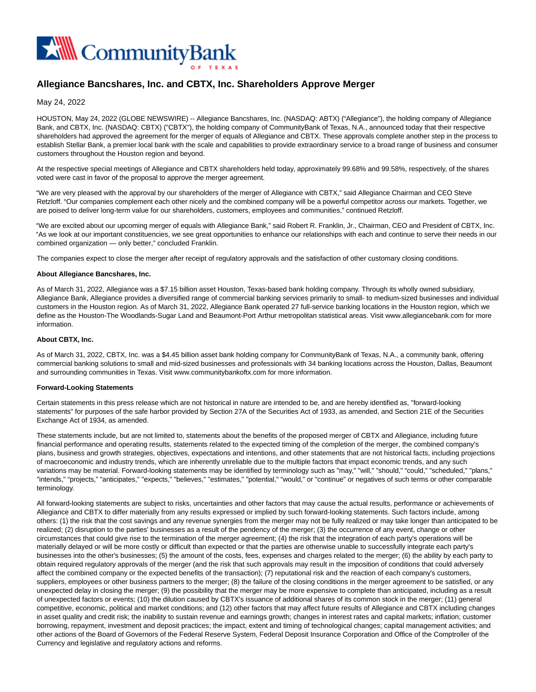

# **Allegiance Bancshares, Inc. and CBTX, Inc. Shareholders Approve Merger**

## May 24, 2022

HOUSTON, May 24, 2022 (GLOBE NEWSWIRE) -- Allegiance Bancshares, Inc. (NASDAQ: ABTX) ("Allegiance"), the holding company of Allegiance Bank, and CBTX, Inc. (NASDAQ: CBTX) ("CBTX"), the holding company of CommunityBank of Texas, N.A., announced today that their respective shareholders had approved the agreement for the merger of equals of Allegiance and CBTX. These approvals complete another step in the process to establish Stellar Bank, a premier local bank with the scale and capabilities to provide extraordinary service to a broad range of business and consumer customers throughout the Houston region and beyond.

At the respective special meetings of Allegiance and CBTX shareholders held today, approximately 99.68% and 99.58%, respectively, of the shares voted were cast in favor of the proposal to approve the merger agreement.

"We are very pleased with the approval by our shareholders of the merger of Allegiance with CBTX," said Allegiance Chairman and CEO Steve Retzloff. "Our companies complement each other nicely and the combined company will be a powerful competitor across our markets. Together, we are poised to deliver long-term value for our shareholders, customers, employees and communities," continued Retzloff.

"We are excited about our upcoming merger of equals with Allegiance Bank," said Robert R. Franklin, Jr., Chairman, CEO and President of CBTX, Inc. "As we look at our important constituencies, we see great opportunities to enhance our relationships with each and continue to serve their needs in our combined organization — only better," concluded Franklin.

The companies expect to close the merger after receipt of regulatory approvals and the satisfaction of other customary closing conditions.

#### **About Allegiance Bancshares, Inc.**

As of March 31, 2022, Allegiance was a \$7.15 billion asset Houston, Texas-based bank holding company. Through its wholly owned subsidiary, Allegiance Bank, Allegiance provides a diversified range of commercial banking services primarily to small- to medium-sized businesses and individual customers in the Houston region. As of March 31, 2022, Allegiance Bank operated 27 full-service banking locations in the Houston region, which we define as the Houston-The Woodlands-Sugar Land and Beaumont-Port Arthur metropolitan statistical areas. Visit www.allegiancebank.com for more information.

### **About CBTX, Inc.**

As of March 31, 2022, CBTX, Inc. was a \$4.45 billion asset bank holding company for CommunityBank of Texas, N.A., a community bank, offering commercial banking solutions to small and mid-sized businesses and professionals with 34 banking locations across the Houston, Dallas, Beaumont and surrounding communities in Texas. Visit www.communitybankoftx.com for more information.

#### **Forward-Looking Statements**

Certain statements in this press release which are not historical in nature are intended to be, and are hereby identified as, "forward-looking statements" for purposes of the safe harbor provided by Section 27A of the Securities Act of 1933, as amended, and Section 21E of the Securities Exchange Act of 1934, as amended.

These statements include, but are not limited to, statements about the benefits of the proposed merger of CBTX and Allegiance, including future financial performance and operating results, statements related to the expected timing of the completion of the merger, the combined company's plans, business and growth strategies, objectives, expectations and intentions, and other statements that are not historical facts, including projections of macroeconomic and industry trends, which are inherently unreliable due to the multiple factors that impact economic trends, and any such variations may be material. Forward-looking statements may be identified by terminology such as "may," "will," "should," "could," "scheduled," "plans," "intends," "projects," "anticipates," "expects," "believes," "estimates," "potential," "would," or "continue" or negatives of such terms or other comparable terminology.

All forward-looking statements are subject to risks, uncertainties and other factors that may cause the actual results, performance or achievements of Allegiance and CBTX to differ materially from any results expressed or implied by such forward-looking statements. Such factors include, among others: (1) the risk that the cost savings and any revenue synergies from the merger may not be fully realized or may take longer than anticipated to be realized; (2) disruption to the parties' businesses as a result of the pendency of the merger; (3) the occurrence of any event, change or other circumstances that could give rise to the termination of the merger agreement; (4) the risk that the integration of each party's operations will be materially delayed or will be more costly or difficult than expected or that the parties are otherwise unable to successfully integrate each party's businesses into the other's businesses; (5) the amount of the costs, fees, expenses and charges related to the merger; (6) the ability by each party to obtain required regulatory approvals of the merger (and the risk that such approvals may result in the imposition of conditions that could adversely affect the combined company or the expected benefits of the transaction); (7) reputational risk and the reaction of each company's customers, suppliers, employees or other business partners to the merger; (8) the failure of the closing conditions in the merger agreement to be satisfied, or any unexpected delay in closing the merger; (9) the possibility that the merger may be more expensive to complete than anticipated, including as a result of unexpected factors or events; (10) the dilution caused by CBTX's issuance of additional shares of its common stock in the merger; (11) general competitive, economic, political and market conditions; and (12) other factors that may affect future results of Allegiance and CBTX including changes in asset quality and credit risk; the inability to sustain revenue and earnings growth; changes in interest rates and capital markets; inflation; customer borrowing, repayment, investment and deposit practices; the impact, extent and timing of technological changes; capital management activities; and other actions of the Board of Governors of the Federal Reserve System, Federal Deposit Insurance Corporation and Office of the Comptroller of the Currency and legislative and regulatory actions and reforms.